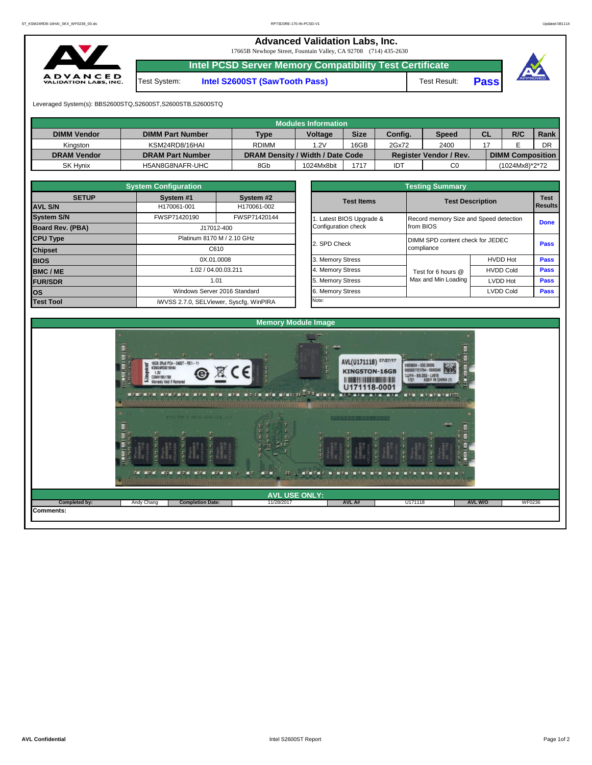**Advanced Validation Labs, Inc.** 

17665B Newhope Street, Fountain Valley, CA 92708 (714) 435-2630



**Intel PCSD Server Memory Compatibility Test Certificate**

Test System: **Intel S2600ST (SawTooth Pass)** Test Result: **Pass**



Leveraged System(s): BBS2600STQ,S2600ST,S2600STB,S2600STQ

| Modules Information |                         |                                  |                |             |         |                               |           |                         |      |  |  |  |  |
|---------------------|-------------------------|----------------------------------|----------------|-------------|---------|-------------------------------|-----------|-------------------------|------|--|--|--|--|
| <b>DIMM Vendor</b>  | <b>DIMM Part Number</b> | <b>Type</b>                      | <b>Voltage</b> | <b>Size</b> | Config. | <b>Speed</b>                  | <b>CL</b> | R/C                     | Rank |  |  |  |  |
| Kinaston            | KSM24RD8/16HAI          | <b>RDIMM</b>                     | 1.2V           | 16GB        | 2Gx72   | 2400                          |           |                         | DR   |  |  |  |  |
| <b>DRAM Vendor</b>  | <b>DRAM Part Number</b> | DRAM Density / Width / Date Code |                |             |         | <b>Register Vendor / Rev.</b> |           | <b>DIMM Composition</b> |      |  |  |  |  |
| <b>SK Hynix</b>     | H5AN8G8NAFR-UHC         | 8Gb                              | 1024Mx8bit     | 1717        | IDT     | C <sub>0</sub>                |           | (1024Mx8)*2*72          |      |  |  |  |  |

| <b>System Configuration</b> |              |                                         |  |  |  |  |  |  |  |  |  |  |  |
|-----------------------------|--------------|-----------------------------------------|--|--|--|--|--|--|--|--|--|--|--|
| <b>SETUP</b>                | System #1    | System #2                               |  |  |  |  |  |  |  |  |  |  |  |
| <b>AVL S/N</b>              | H170061-001  | H170061-002                             |  |  |  |  |  |  |  |  |  |  |  |
| <b>System S/N</b>           | FWSP71420190 | FWSP71420144                            |  |  |  |  |  |  |  |  |  |  |  |
| <b>Board Rev. (PBA)</b>     |              | J17012-400                              |  |  |  |  |  |  |  |  |  |  |  |
| <b>CPU Type</b>             |              | Platinum 8170 M / 2.10 GHz              |  |  |  |  |  |  |  |  |  |  |  |
| <b>Chipset</b>              |              | C610                                    |  |  |  |  |  |  |  |  |  |  |  |
| <b>BIOS</b>                 | 0X.01.0008   |                                         |  |  |  |  |  |  |  |  |  |  |  |
| <b>BMC/ME</b>               |              | 1.02 / 04.00.03.211                     |  |  |  |  |  |  |  |  |  |  |  |
| <b>FUR/SDR</b>              |              | 1.01                                    |  |  |  |  |  |  |  |  |  |  |  |
| los                         |              | Windows Server 2016 Standard            |  |  |  |  |  |  |  |  |  |  |  |
| <b>Test Tool</b>            |              | iWVSS 2.7.0, SELViewer, Syscfg, WinPIRA |  |  |  |  |  |  |  |  |  |  |  |

| <b>Testing Summary</b>                          |                                                     |                                  |                               |  |  |  |  |  |  |  |
|-------------------------------------------------|-----------------------------------------------------|----------------------------------|-------------------------------|--|--|--|--|--|--|--|
| <b>Test Items</b>                               | <b>Test Description</b>                             |                                  | <b>Test</b><br><b>Results</b> |  |  |  |  |  |  |  |
| 1. Latest BIOS Upgrade &<br>Configuration check | Record memory Size and Speed detection<br>from BIOS |                                  | Done                          |  |  |  |  |  |  |  |
| 2. SPD Check                                    | compliance                                          | DIMM SPD content check for JEDEC |                               |  |  |  |  |  |  |  |
| 3. Memory Stress                                |                                                     | <b>HVDD Hot</b>                  | Pass                          |  |  |  |  |  |  |  |
| 4. Memory Stress                                | Test for 6 hours @                                  | <b>HVDD Cold</b>                 | <b>Pass</b>                   |  |  |  |  |  |  |  |
| 5. Memory Stress                                | Max and Min Loading                                 | LVDD Hot                         | <b>Pass</b>                   |  |  |  |  |  |  |  |
| 6. Memory Stress                                |                                                     | <b>LVDD Cold</b>                 | <b>Pass</b>                   |  |  |  |  |  |  |  |
| Note:                                           |                                                     |                                  |                               |  |  |  |  |  |  |  |